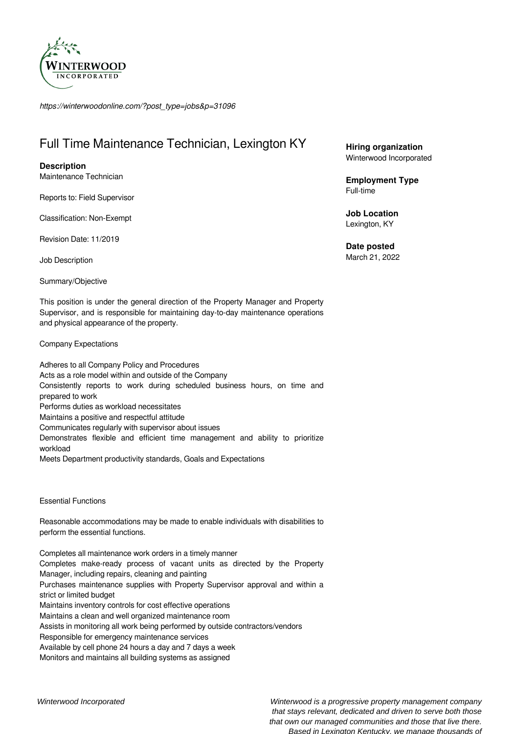

*https://winterwoodonline.com/?post\_type=jobs&p=31096*

# Full Time Maintenance Technician, Lexington KY

## **Description**

Maintenance Technician

Reports to: Field Supervisor

Classification: Non-Exempt

Revision Date: 11/2019

Job Description

Summary/Objective

This position is under the general direction of the Property Manager and Property Supervisor, and is responsible for maintaining day-to-day maintenance operations and physical appearance of the property.

Company Expectations

Adheres to all Company Policy and Procedures Acts as a role model within and outside of the Company Consistently reports to work during scheduled business hours, on time and prepared to work Performs duties as workload necessitates Maintains a positive and respectful attitude Communicates regularly with supervisor about issues Demonstrates flexible and efficient time management and ability to prioritize workload Meets Department productivity standards, Goals and Expectations

Essential Functions

Reasonable accommodations may be made to enable individuals with disabilities to perform the essential functions.

Completes all maintenance work orders in a timely manner Completes make-ready process of vacant units as directed by the Property Manager, including repairs, cleaning and painting Purchases maintenance supplies with Property Supervisor approval and within a strict or limited budget Maintains inventory controls for cost effective operations Maintains a clean and well organized maintenance room Assists in monitoring all work being performed by outside contractors/vendors Responsible for emergency maintenance services Available by cell phone 24 hours a day and 7 days a week Monitors and maintains all building systems as assigned

**Hiring organization** Winterwood Incorporated

**Employment Type** Full-time

**Job Location** Lexington, KY

**Date posted** March 21, 2022

Winterwood Incorporated Winterwood is a progressive property management company that stays relevant, dedicated and driven to serve both those that own our managed communities and those that live there. Based in Lexington Kentucky, we manage thousands of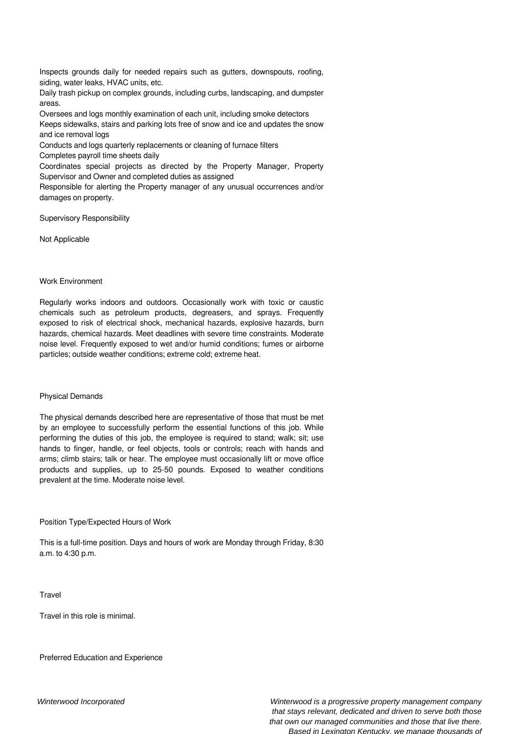Inspects grounds daily for needed repairs such as gutters, downspouts, roofing, siding, water leaks, HVAC units, etc.

Daily trash pickup on complex grounds, including curbs, landscaping, and dumpster areas.

Oversees and logs monthly examination of each unit, including smoke detectors Keeps sidewalks, stairs and parking lots free of snow and ice and updates the snow and ice removal logs

Conducts and logs quarterly replacements or cleaning of furnace filters

Completes payroll time sheets daily

Coordinates special projects as directed by the Property Manager, Property Supervisor and Owner and completed duties as assigned

Responsible for alerting the Property manager of any unusual occurrences and/or damages on property.

Supervisory Responsibility

Not Applicable

### Work Environment

Regularly works indoors and outdoors. Occasionally work with toxic or caustic chemicals such as petroleum products, degreasers, and sprays. Frequently exposed to risk of electrical shock, mechanical hazards, explosive hazards, burn hazards, chemical hazards. Meet deadlines with severe time constraints. Moderate noise level. Frequently exposed to wet and/or humid conditions; fumes or airborne particles; outside weather conditions; extreme cold; extreme heat.

#### Physical Demands

The physical demands described here are representative of those that must be met by an employee to successfully perform the essential functions of this job. While performing the duties of this job, the employee is required to stand; walk; sit; use hands to finger, handle, or feel objects, tools or controls; reach with hands and arms; climb stairs; talk or hear. The employee must occasionally lift or move office products and supplies, up to 25-50 pounds. Exposed to weather conditions prevalent at the time. Moderate noise level.

#### Position Type/Expected Hours of Work

This is a full-time position. Days and hours of work are Monday through Friday, 8:30 a.m. to 4:30 p.m.

**Travel** 

Travel in this role is minimal.

Preferred Education and Experience

Winterwood Incorporated Winterwood is a progressive property management company that stays relevant, dedicated and driven to serve both those that own our managed communities and those that live there. Based in Lexington Kentucky, we manage thousands of